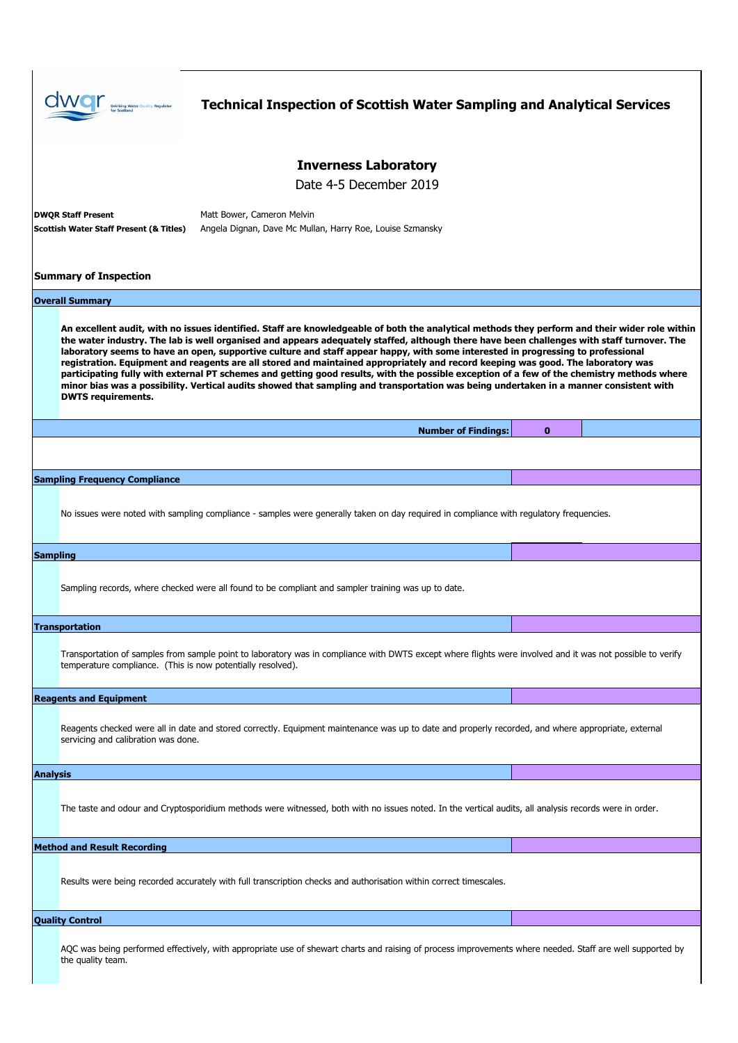

AQC was being performed effectively, with appropriate use of shewart charts and raising of process improvements where needed. Staff are well supported by the quality team.